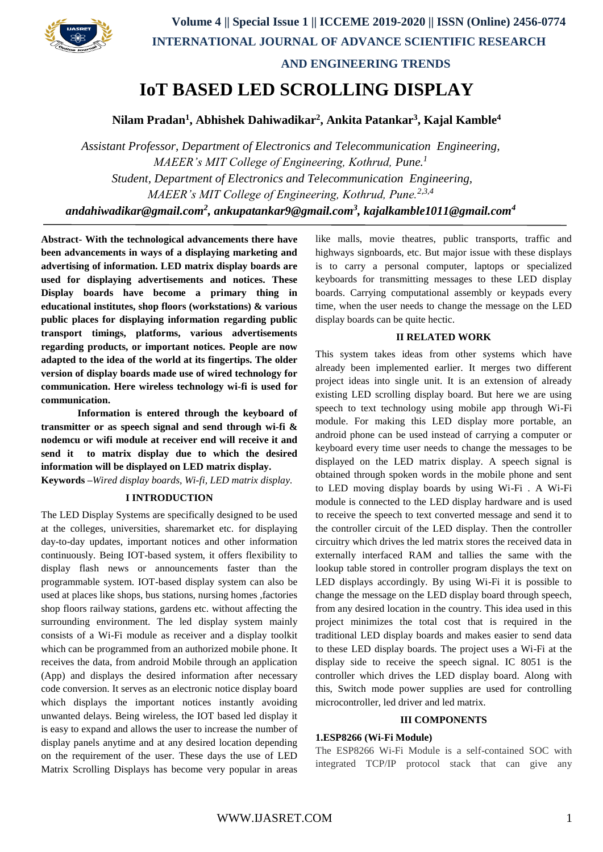**Volume 4 || Special Issue 1 || ICCEME 2019-2020 || ISSN (Online) 2456-0774 INTERNATIONAL JOURNAL OF ADVANCE SCIENTIFIC RESEARCH** 



 **AND ENGINEERING TRENDS**

# **IoT BASED LED SCROLLING DISPLAY**

**Nilam Pradan<sup>1</sup> , Abhishek Dahiwadikar<sup>2</sup> , Ankita Patankar<sup>3</sup> , Kajal Kamble<sup>4</sup>**

*Assistant Professor, Department of Electronics and Telecommunication Engineering, MAEER's MIT College of Engineering, Kothrud, Pune.<sup>1</sup> Student, Department of Electronics and Telecommunication Engineering, MAEER's MIT College of Engineering, Kothrud, Pune.2,3,4 andahiwadikar@gmail.com<sup>2</sup> , ankupatankar9@gmail.com<sup>3</sup> , kajalkamble1011@gmail.com<sup>4</sup>*

**Abstract- With the technological advancements there have been advancements in ways of a displaying marketing and advertising of information. LED matrix display boards are used for displaying advertisements and notices. These Display boards have become a primary thing in educational institutes, shop floors (workstations) & various public places for displaying information regarding public transport timings, platforms, various advertisements regarding products, or important notices. People are now adapted to the idea of the world at its fingertips. The older version of display boards made use of wired technology for communication. Here wireless technology wi-fi is used for communication.** 

**Information is entered through the keyboard of transmitter or as speech signal and send through wi-fi & nodemcu or wifi module at receiver end will receive it and send it to matrix display due to which the desired information will be displayed on LED matrix display.** 

**Keywords –***Wired display boards, Wi-fi, LED matrix display.* 

## **I INTRODUCTION**

The LED Display Systems are specifically designed to be used at the colleges, universities, sharemarket etc. for displaying day-to-day updates, important notices and other information continuously. Being IOT-based system, it offers flexibility to display flash news or announcements faster than the programmable system. IOT-based display system can also be used at places like shops, bus stations, nursing homes ,factories shop floors railway stations, gardens etc. without affecting the surrounding environment. The led display system mainly consists of a Wi-Fi module as receiver and a display toolkit which can be programmed from an authorized mobile phone. It receives the data, from android Mobile through an application (App) and displays the desired information after necessary code conversion. It serves as an electronic notice display board which displays the important notices instantly avoiding unwanted delays. Being wireless, the IOT based led display it is easy to expand and allows the user to increase the number of display panels anytime and at any desired location depending on the requirement of the user. These days the use of LED Matrix Scrolling Displays has become very popular in areas like malls, movie theatres, public transports, traffic and highways signboards, etc. But major issue with these displays is to carry a personal computer, laptops or specialized keyboards for transmitting messages to these LED display boards. Carrying computational assembly or keypads every time, when the user needs to change the message on the LED display boards can be quite hectic.

## **II RELATED WORK**

This system takes ideas from other systems which have already been implemented earlier. It merges two different project ideas into single unit. It is an extension of already existing LED scrolling display board. But here we are using speech to text technology using mobile app through Wi-Fi module. For making this LED display more portable, an android phone can be used instead of carrying a computer or keyboard every time user needs to change the messages to be displayed on the LED matrix display. A speech signal is obtained through spoken words in the mobile phone and sent to LED moving display boards by using Wi-Fi . A Wi-Fi module is connected to the LED display hardware and is used to receive the speech to text converted message and send it to the controller circuit of the LED display. Then the controller circuitry which drives the led matrix stores the received data in externally interfaced RAM and tallies the same with the lookup table stored in controller program displays the text on LED displays accordingly. By using Wi-Fi it is possible to change the message on the LED display board through speech, from any desired location in the country. This idea used in this project minimizes the total cost that is required in the traditional LED display boards and makes easier to send data to these LED display boards. The project uses a Wi-Fi at the display side to receive the speech signal. IC 8051 is the controller which drives the LED display board. Along with this, Switch mode power supplies are used for controlling microcontroller, led driver and led matrix.

## **III COMPONENTS**

## **1.ESP8266 (Wi-Fi Module)**

The ESP8266 Wi-Fi Module is a self-contained SOC with integrated TCP/IP protocol stack that can give any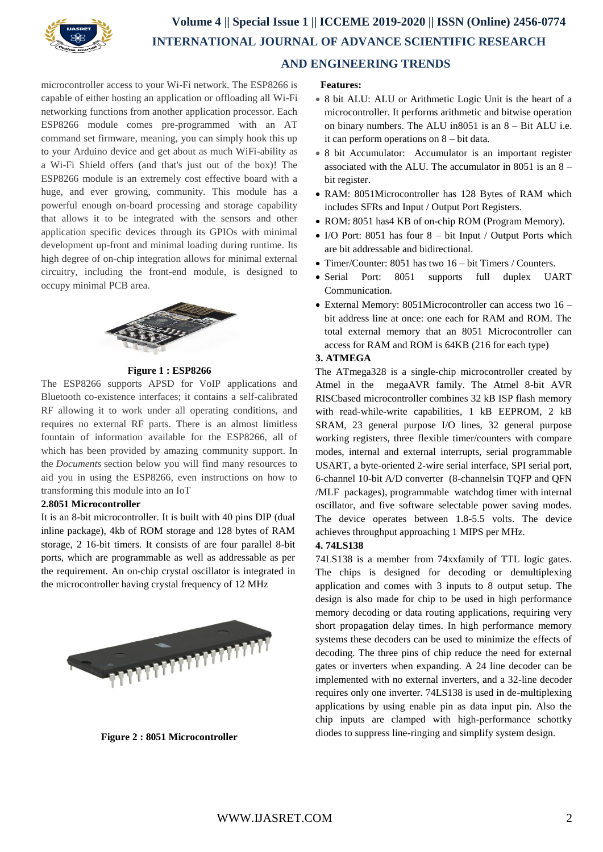

microcontroller access to your Wi-Fi network. The ESP8266 is capable of either hosting an application or offloading all Wi-Fi networking functions from another application processor. Each ESP8266 module comes pre-programmed with an AT command set firmware, meaning, you can simply hook this up to your Arduino device and get about as much WiFi-ability as a Wi-Fi Shield offers (and that's just out of the box)! The ESP8266 module is an extremely cost effective board with a huge, and ever growing, community. This module has a powerful enough on-board processing and storage capability that allows it to be integrated with the sensors and other application specific devices through its GPIOs with minimal development up-front and minimal loading during runtime. Its high degree of on-chip integration allows for minimal external circuitry, including the front-end module, is designed to occupy minimal PCB area.



## **Figure 1 : ESP8266**

The ESP8266 supports APSD for VoIP applications and Bluetooth co-existence interfaces; it contains a self-calibrated RF allowing it to work under all operating conditions, and requires no external RF parts. There is an almost limitless fountain of information available for the ESP8266, all of which has been provided by amazing community support. In the *Documents* section below you will find many resources to aid you in using the ESP8266, even instructions on how to transforming this module into an IoT

#### **2.8051 Microcontroller**

It is an 8-bit microcontroller. It is built with 40 pins DIP (dual inline package), 4kb of ROM storage and 128 bytes of RAM storage, 2 16-bit timers. It consists of are four parallel 8-bit ports, which are programmable as well as addressable as per the requirement. An on-chip crystal oscillator is integrated in the microcontroller having crystal frequency of 12 MHz



**Figure 2 : 8051 Microcontroller**

#### **Features:**

- 8 bit ALU: ALU or Arithmetic Logic Unit is the heart of a microcontroller. It performs arithmetic and bitwise operation on binary numbers. The ALU in8051 is an 8 – Bit ALU i.e. it can perform operations on 8 – bit data.
- 8 bit Accumulator: Accumulator is an important register associated with the ALU. The accumulator in 8051 is an 8 – bit register.
- RAM: 8051Microcontroller has 128 Bytes of RAM which includes SFRs and Input / Output Port Registers.
- ROM: 8051 has4 KB of on-chip ROM (Program Memory).
- I/O Port: 8051 has four  $8 bit$  Input / Output Ports which are bit addressable and bidirectional.
- Timer/Counter: 8051 has two 16 bit Timers / Counters.
- Serial Port: 8051 supports full duplex UART Communication.
- External Memory: 8051Microcontroller can access two 16 bit address line at once: one each for RAM and ROM. The total external memory that an 8051 Microcontroller can access for RAM and ROM is 64KB (216 for each type)

## **3. ATMEGA**

The ATmega328 is a single-chip microcontroller created by Atmel in the megaAVR family. The Atmel 8-bit AVR RISCbased microcontroller combines 32 kB ISP flash memory with read-while-write capabilities, 1 kB EEPROM, 2 kB SRAM, 23 general purpose I/O lines, 32 general purpose working registers, three flexible timer/counters with compare modes, internal and external interrupts, serial programmable USART, a byte-oriented 2-wire serial interface, SPI serial port, 6-channel 10-bit A/D converter (8-channelsin TQFP and QFN /MLF packages), programmable watchdog timer with internal oscillator, and five software selectable power saving modes. The device operates between 1.8-5.5 volts. The device achieves throughput approaching 1 MIPS per MHz.

#### **4. 74LS138**

74LS138 is a member from 74xxfamily of TTL logic gates. The chips is designed for decoding or demultiplexing application and comes with 3 inputs to 8 output setup. The design is also made for chip to be used in high performance memory decoding or data routing applications, requiring very short propagation delay times. In high performance memory systems these decoders can be used to minimize the effects of decoding. The three pins of chip reduce the need for external gates or inverters when expanding. A 24 line decoder can be implemented with no external inverters, and a 32-line decoder requires only one inverter. 74LS138 is used in de-multiplexing applications by using enable pin as data input pin. Also the chip inputs are clamped with high-performance schottky diodes to suppress line-ringing and simplify system design.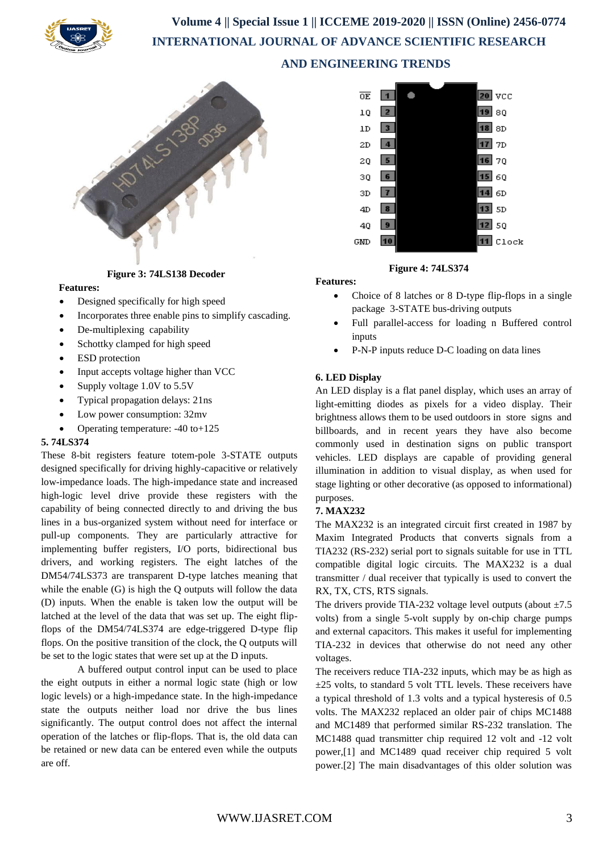

 **Volume 4 || Special Issue 1 || ICCEME 2019-2020 || ISSN (Online) 2456-0774 INTERNATIONAL JOURNAL OF ADVANCE SCIENTIFIC RESEARCH AND ENGINEERING TRENDS**



 **Figure 3: 74LS138 Decoder**

#### **Features:**

- Designed specifically for high speed
- Incorporates three enable pins to simplify cascading.
- De-multiplexing capability
- Schottky clamped for high speed
- ESD protection
- Input accepts voltage higher than VCC
- Supply voltage 1.0V to 5.5V
- Typical propagation delays: 21ns
- Low power consumption: 32mv
- Operating temperature: -40 to+125

#### **5. 74LS374**

These 8-bit registers feature totem-pole 3-STATE outputs designed specifically for driving highly-capacitive or relatively low-impedance loads. The high-impedance state and increased high-logic level drive provide these registers with the capability of being connected directly to and driving the bus lines in a bus-organized system without need for interface or pull-up components. They are particularly attractive for implementing buffer registers, I/O ports, bidirectional bus drivers, and working registers. The eight latches of the DM54/74LS373 are transparent D-type latches meaning that while the enable (G) is high the Q outputs will follow the data (D) inputs. When the enable is taken low the output will be latched at the level of the data that was set up. The eight flipflops of the DM54/74LS374 are edge-triggered D-type flip flops. On the positive transition of the clock, the Q outputs will be set to the logic states that were set up at the D inputs.

A buffered output control input can be used to place the eight outputs in either a normal logic state (high or low logic levels) or a high-impedance state. In the high-impedance state the outputs neither load nor drive the bus lines significantly. The output control does not affect the internal operation of the latches or flip-flops. That is, the old data can be retained or new data can be entered even while the outputs are off.



 **Figure 4: 74LS374**

**Features:**

- Choice of 8 latches or 8 D-type flip-flops in a single package 3-STATE bus-driving outputs
- Full parallel-access for loading n Buffered control inputs
- P-N-P inputs reduce D-C loading on data lines

## **6. LED Display**

An LED display is a flat panel display, which uses an array of light-emitting diodes as pixels for a video display. Their brightness allows them to be used outdoors in store signs and billboards, and in recent years they have also become commonly used in destination signs on public transport vehicles. LED displays are capable of providing general illumination in addition to visual display, as when used for stage lighting or other decorative (as opposed to informational) purposes.

## **7. MAX232**

The MAX232 is an integrated circuit first created in 1987 by Maxim Integrated Products that converts signals from a TIA232 (RS-232) serial port to signals suitable for use in TTL compatible digital logic circuits. The MAX232 is a dual transmitter / dual receiver that typically is used to convert the RX, TX, CTS, RTS signals.

The drivers provide TIA-232 voltage level outputs (about  $\pm 7.5$ ) volts) from a single 5-volt supply by on-chip charge pumps and external capacitors. This makes it useful for implementing TIA-232 in devices that otherwise do not need any other voltages.

The receivers reduce TIA-232 inputs, which may be as high as  $\pm$ 25 volts, to standard 5 volt TTL levels. These receivers have a typical threshold of 1.3 volts and a typical hysteresis of 0.5 volts. The MAX232 replaced an older pair of chips MC1488 and MC1489 that performed similar RS-232 translation. The MC1488 quad transmitter chip required 12 volt and -12 volt power,[1] and MC1489 quad receiver chip required 5 volt power.[2] The main disadvantages of this older solution was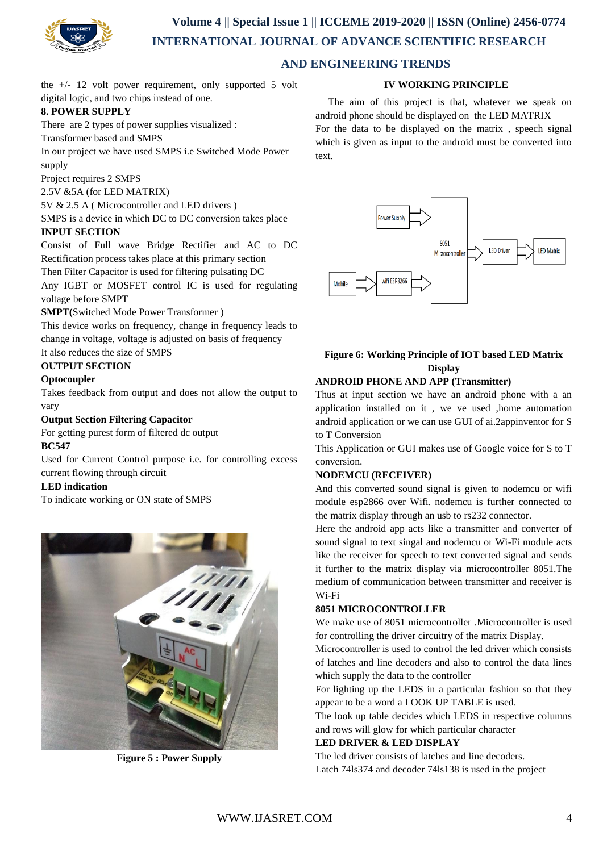

# **Volume 4 || Special Issue 1 || ICCEME 2019-2020 || ISSN (Online) 2456-0774 INTERNATIONAL JOURNAL OF ADVANCE SCIENTIFIC RESEARCH**

## **AND ENGINEERING TRENDS**

the  $+/-$  12 volt power requirement, only supported 5 volt digital logic, and two chips instead of one.

## **8. POWER SUPPLY**

There are 2 types of power supplies visualized :

Transformer based and SMPS

In our project we have used SMPS i.e Switched Mode Power supply

Project requires 2 SMPS

2.5V &5A (for LED MATRIX)

5V & 2.5 A ( Microcontroller and LED drivers )

SMPS is a device in which DC to DC conversion takes place **INPUT SECTION**

Consist of Full wave Bridge Rectifier and AC to DC Rectification process takes place at this primary section

Then Filter Capacitor is used for filtering pulsating DC

Any IGBT or MOSFET control IC is used for regulating voltage before SMPT

## **SMPT(**Switched Mode Power Transformer )

This device works on frequency, change in frequency leads to change in voltage, voltage is adjusted on basis of frequency It also reduces the size of SMPS

## **OUTPUT SECTION**

## **Optocoupler**

Takes feedback from output and does not allow the output to vary

## **Output Section Filtering Capacitor**

For getting purest form of filtered dc output

## **BC547**

Used for Current Control purpose i.e. for controlling excess current flowing through circuit

## **LED indication**

To indicate working or ON state of SMPS



**Figure 5 : Power Supply**

## **IV WORKING PRINCIPLE**

 The aim of this project is that, whatever we speak on android phone should be displayed on the LED MATRIX

For the data to be displayed on the matrix , speech signal which is given as input to the android must be converted into text.



## **Figure 6: Working Principle of IOT based LED Matrix Display**

## **ANDROID PHONE AND APP (Transmitter)**

Thus at input section we have an android phone with a an application installed on it , we ve used ,home automation android application or we can use GUI of ai.2appinventor for S to T Conversion

This Application or GUI makes use of Google voice for S to T conversion.

## **NODEMCU (RECEIVER)**

And this converted sound signal is given to nodemcu or wifi module esp2866 over Wifi. nodemcu is further connected to the matrix display through an usb to rs232 connector.

Here the android app acts like a transmitter and converter of sound signal to text singal and nodemcu or Wi-Fi module acts like the receiver for speech to text converted signal and sends it further to the matrix display via microcontroller 8051.The medium of communication between transmitter and receiver is Wi-Fi

## **8051 MICROCONTROLLER**

We make use of 8051 microcontroller .Microcontroller is used for controlling the driver circuitry of the matrix Display.

Microcontroller is used to control the led driver which consists of latches and line decoders and also to control the data lines which supply the data to the controller

For lighting up the LEDS in a particular fashion so that they appear to be a word a LOOK UP TABLE is used.

The look up table decides which LEDS in respective columns and rows will glow for which particular character

## **LED DRIVER & LED DISPLAY**

The led driver consists of latches and line decoders. Latch 74ls374 and decoder 74ls138 is used in the project